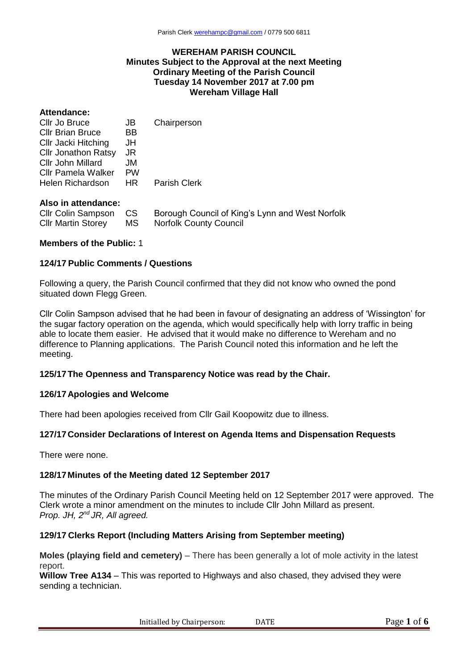#### **WEREHAM PARISH COUNCIL Minutes Subject to the Approval at the next Meeting Ordinary Meeting of the Parish Council Tuesday 14 November 2017 at 7.00 pm Wereham Village Hall**

# **Attendance:**

| Cllr Jo Bruce              | JBI       | Chairperson         |
|----------------------------|-----------|---------------------|
| <b>Cllr Brian Bruce</b>    | <b>BB</b> |                     |
| Cllr Jacki Hitching        | JH        |                     |
| <b>Cllr Jonathon Ratsy</b> | JR        |                     |
| Cllr John Millard          | JM.       |                     |
| Cllr Pamela Walker         | <b>PW</b> |                     |
| Helen Richardson           | HR .      | <b>Parish Clerk</b> |
|                            |           |                     |

#### **Also in attendance:**

| Cllr Colin Sampson CS     |      | Borough Council of King's Lynn and West Norfolk |
|---------------------------|------|-------------------------------------------------|
| <b>Cllr Martin Storey</b> | MS – | Norfolk County Council                          |

# **Members of the Public:** 1

#### **124/17 Public Comments / Questions**

Following a query, the Parish Council confirmed that they did not know who owned the pond situated down Flegg Green.

Cllr Colin Sampson advised that he had been in favour of designating an address of 'Wissington' for the sugar factory operation on the agenda, which would specifically help with lorry traffic in being able to locate them easier. He advised that it would make no difference to Wereham and no difference to Planning applications. The Parish Council noted this information and he left the meeting.

# **125/17The Openness and Transparency Notice was read by the Chair.**

#### **126/17 Apologies and Welcome**

There had been apologies received from Cllr Gail Koopowitz due to illness.

# **127/17 Consider Declarations of Interest on Agenda Items and Dispensation Requests**

There were none.

# **128/17Minutes of the Meeting dated 12 September 2017**

The minutes of the Ordinary Parish Council Meeting held on 12 September 2017 were approved. The Clerk wrote a minor amendment on the minutes to include Cllr John Millard as present. *Prop. JH, 2nd JR, All agreed.*

# **129/17 Clerks Report (Including Matters Arising from September meeting)**

**Moles (playing field and cemetery)** – There has been generally a lot of mole activity in the latest report.

**Willow Tree A134** – This was reported to Highways and also chased, they advised they were sending a technician.

Initialled by Chairperson: DATE Page 1 of 6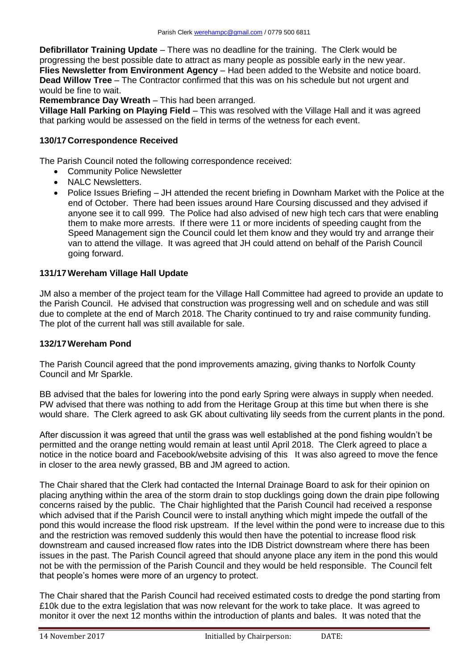**Defibrillator Training Update** – There was no deadline for the training. The Clerk would be progressing the best possible date to attract as many people as possible early in the new year. **Flies Newsletter from Environment Agency** – Had been added to the Website and notice board. **Dead Willow Tree** – The Contractor confirmed that this was on his schedule but not urgent and would be fine to wait.

**Remembrance Day Wreath** – This had been arranged.

**Village Hall Parking on Playing Field** – This was resolved with the Village Hall and it was agreed that parking would be assessed on the field in terms of the wetness for each event.

# **130/17 Correspondence Received**

The Parish Council noted the following correspondence received:

- Community Police Newsletter
- NALC Newsletters.
- Police Issues Briefing JH attended the recent briefing in Downham Market with the Police at the end of October. There had been issues around Hare Coursing discussed and they advised if anyone see it to call 999. The Police had also advised of new high tech cars that were enabling them to make more arrests. If there were 11 or more incidents of speeding caught from the Speed Management sign the Council could let them know and they would try and arrange their van to attend the village. It was agreed that JH could attend on behalf of the Parish Council going forward.

# **131/17Wereham Village Hall Update**

JM also a member of the project team for the Village Hall Committee had agreed to provide an update to the Parish Council. He advised that construction was progressing well and on schedule and was still due to complete at the end of March 2018. The Charity continued to try and raise community funding. The plot of the current hall was still available for sale.

# **132/17Wereham Pond**

The Parish Council agreed that the pond improvements amazing, giving thanks to Norfolk County Council and Mr Sparkle.

BB advised that the bales for lowering into the pond early Spring were always in supply when needed. PW advised that there was nothing to add from the Heritage Group at this time but when there is she would share. The Clerk agreed to ask GK about cultivating lily seeds from the current plants in the pond.

After discussion it was agreed that until the grass was well established at the pond fishing wouldn't be permitted and the orange netting would remain at least until April 2018. The Clerk agreed to place a notice in the notice board and Facebook/website advising of this It was also agreed to move the fence in closer to the area newly grassed, BB and JM agreed to action.

The Chair shared that the Clerk had contacted the Internal Drainage Board to ask for their opinion on placing anything within the area of the storm drain to stop ducklings going down the drain pipe following concerns raised by the public. The Chair highlighted that the Parish Council had received a response which advised that if the Parish Council were to install anything which might impede the outfall of the pond this would increase the flood risk upstream. If the level within the pond were to increase due to this and the restriction was removed suddenly this would then have the potential to increase flood risk downstream and caused increased flow rates into the IDB District downstream where there has been issues in the past. The Parish Council agreed that should anyone place any item in the pond this would not be with the permission of the Parish Council and they would be held responsible. The Council felt that people's homes were more of an urgency to protect.

The Chair shared that the Parish Council had received estimated costs to dredge the pond starting from £10k due to the extra legislation that was now relevant for the work to take place. It was agreed to monitor it over the next 12 months within the introduction of plants and bales. It was noted that the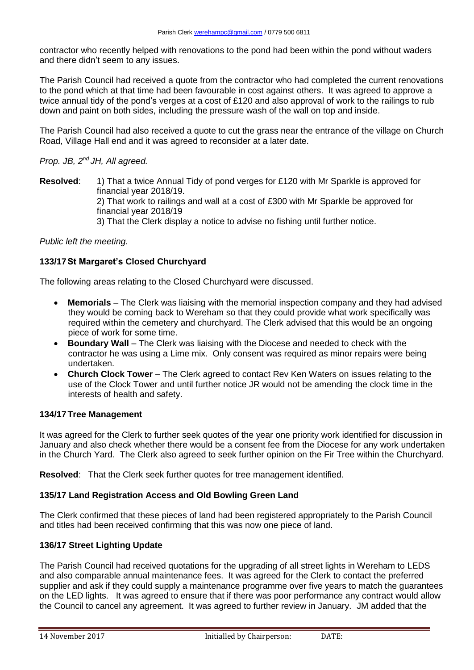contractor who recently helped with renovations to the pond had been within the pond without waders and there didn't seem to any issues.

The Parish Council had received a quote from the contractor who had completed the current renovations to the pond which at that time had been favourable in cost against others. It was agreed to approve a twice annual tidy of the pond's verges at a cost of £120 and also approval of work to the railings to rub down and paint on both sides, including the pressure wash of the wall on top and inside.

The Parish Council had also received a quote to cut the grass near the entrance of the village on Church Road, Village Hall end and it was agreed to reconsider at a later date.

# *Prop. JB, 2nd JH, All agreed.*

**Resolved**: 1) That a twice Annual Tidy of pond verges for £120 with Mr Sparkle is approved for financial year 2018/19. 2) That work to railings and wall at a cost of £300 with Mr Sparkle be approved for financial year 2018/19 3) That the Clerk display a notice to advise no fishing until further notice.

# *Public left the meeting.*

# **133/17St Margaret's Closed Churchyard**

The following areas relating to the Closed Churchyard were discussed.

- **Memorials** The Clerk was liaising with the memorial inspection company and they had advised they would be coming back to Wereham so that they could provide what work specifically was required within the cemetery and churchyard. The Clerk advised that this would be an ongoing piece of work for some time.
- **Boundary Wall** The Clerk was liaising with the Diocese and needed to check with the contractor he was using a Lime mix. Only consent was required as minor repairs were being undertaken.
- **Church Clock Tower**  The Clerk agreed to contact Rev Ken Waters on issues relating to the use of the Clock Tower and until further notice JR would not be amending the clock time in the interests of health and safety.

# **134/17Tree Management**

It was agreed for the Clerk to further seek quotes of the year one priority work identified for discussion in January and also check whether there would be a consent fee from the Diocese for any work undertaken in the Church Yard. The Clerk also agreed to seek further opinion on the Fir Tree within the Churchyard.

**Resolved**: That the Clerk seek further quotes for tree management identified.

# **135/17 Land Registration Access and Old Bowling Green Land**

The Clerk confirmed that these pieces of land had been registered appropriately to the Parish Council and titles had been received confirming that this was now one piece of land.

# **136/17 Street Lighting Update**

The Parish Council had received quotations for the upgrading of all street lights in Wereham to LEDS and also comparable annual maintenance fees. It was agreed for the Clerk to contact the preferred supplier and ask if they could supply a maintenance programme over five years to match the guarantees on the LED lights. It was agreed to ensure that if there was poor performance any contract would allow the Council to cancel any agreement. It was agreed to further review in January. JM added that the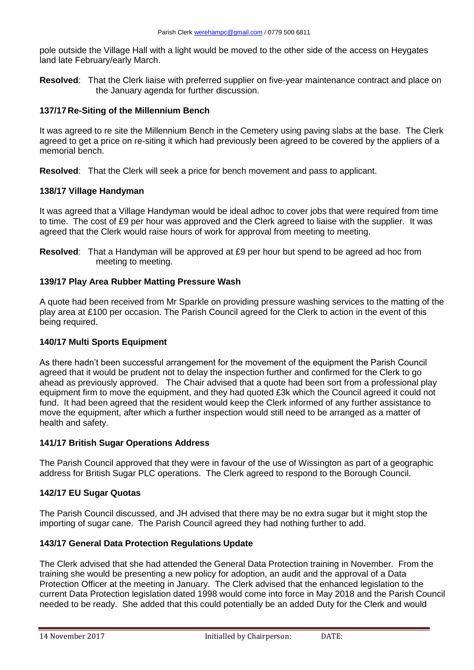pole outside the Village Hall with a light would be moved to the other side of the access on Heygates land late February/early March.

**Resolved**: That the Clerk liaise with preferred supplier on five-year maintenance contract and place on the January agenda for further discussion.

# **137/17 Re-Siting of the Millennium Bench**

It was agreed to re site the Millennium Bench in the Cemetery using paving slabs at the base. The Clerk agreed to get a price on re-siting it which had previously been agreed to be covered by the appliers of a memorial bench.

**Resolved**: That the Clerk will seek a price for bench movement and pass to applicant.

# **138/17 Village Handyman**

It was agreed that a Village Handyman would be ideal adhoc to cover jobs that were required from time to time. The cost of £9 per hour was approved and the Clerk agreed to liaise with the supplier. It was agreed that the Clerk would raise hours of work for approval from meeting to meeting.

**Resolved**: That a Handyman will be approved at £9 per hour but spend to be agreed ad hoc from meeting to meeting.

#### **139/17 Play Area Rubber Matting Pressure Wash**

A quote had been received from Mr Sparkle on providing pressure washing services to the matting of the play area at £100 per occasion. The Parish Council agreed for the Clerk to action in the event of this being required.

# **140/17 Multi Sports Equipment**

As there hadn't been successful arrangement for the movement of the equipment the Parish Council agreed that it would be prudent not to delay the inspection further and confirmed for the Clerk to go ahead as previously approved. The Chair advised that a quote had been sort from a professional play equipment firm to move the equipment, and they had quoted £3k which the Council agreed it could not fund. It had been agreed that the resident would keep the Clerk informed of any further assistance to move the equipment, after which a further inspection would still need to be arranged as a matter of health and safety.

# **141/17 British Sugar Operations Address**

The Parish Council approved that they were in favour of the use of Wissington as part of a geographic address for British Sugar PLC operations. The Clerk agreed to respond to the Borough Council.

# **142/17 EU Sugar Quotas**

The Parish Council discussed, and JH advised that there may be no extra sugar but it might stop the importing of sugar cane. The Parish Council agreed they had nothing further to add.

# **143/17 General Data Protection Regulations Update**

The Clerk advised that she had attended the General Data Protection training in November. From the training she would be presenting a new policy for adoption, an audit and the approval of a Data Protection Officer at the meeting in January. The Clerk advised that the enhanced legislation to the current Data Protection legislation dated 1998 would come into force in May 2018 and the Parish Council needed to be ready. She added that this could potentially be an added Duty for the Clerk and would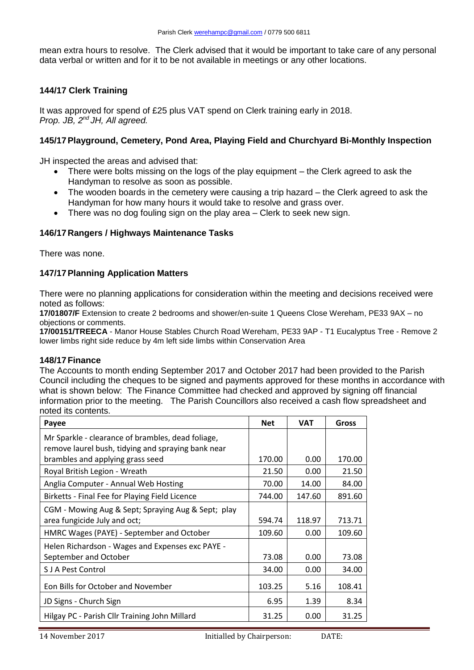mean extra hours to resolve. The Clerk advised that it would be important to take care of any personal data verbal or written and for it to be not available in meetings or any other locations.

# **144/17 Clerk Training**

It was approved for spend of £25 plus VAT spend on Clerk training early in 2018. *Prop. JB, 2nd JH, All agreed.*

# **145/17Playground, Cemetery, Pond Area, Playing Field and Churchyard Bi-Monthly Inspection**

JH inspected the areas and advised that:

- There were bolts missing on the logs of the play equipment the Clerk agreed to ask the Handyman to resolve as soon as possible.
- The wooden boards in the cemetery were causing a trip hazard the Clerk agreed to ask the Handyman for how many hours it would take to resolve and grass over.
- There was no dog fouling sign on the play area Clerk to seek new sign.

# **146/17 Rangers / Highways Maintenance Tasks**

There was none.

# **147/17Planning Application Matters**

There were no planning applications for consideration within the meeting and decisions received were noted as follows:

**17/01807/F** Extension to create 2 bedrooms and shower/en-suite 1 Queens Close Wereham, PE33 9AX – no objections or comments.

**17/00151/TREECA** - Manor House Stables Church Road Wereham, PE33 9AP - T1 Eucalyptus Tree - Remove 2 lower limbs right side reduce by 4m left side limbs within Conservation Area

#### **148/17Finance**

The Accounts to month ending September 2017 and October 2017 had been provided to the Parish Council including the cheques to be signed and payments approved for these months in accordance with what is shown below: The Finance Committee had checked and approved by signing off financial information prior to the meeting. The Parish Councillors also received a cash flow spreadsheet and noted its contents.

| Payee                                                                                                   | <b>Net</b> | <b>VAT</b> | Gross  |
|---------------------------------------------------------------------------------------------------------|------------|------------|--------|
| Mr Sparkle - clearance of brambles, dead foliage,<br>remove laurel bush, tidying and spraying bank near |            |            |        |
| brambles and applying grass seed                                                                        | 170.00     | 0.00       | 170.00 |
| Royal British Legion - Wreath                                                                           | 21.50      | 0.00       | 21.50  |
| Anglia Computer - Annual Web Hosting                                                                    | 70.00      | 14.00      | 84.00  |
| Birketts - Final Fee for Playing Field Licence                                                          | 744.00     | 147.60     | 891.60 |
| CGM - Mowing Aug & Sept; Spraying Aug & Sept; play                                                      |            |            |        |
| area fungicide July and oct;                                                                            | 594.74     | 118.97     | 713.71 |
| HMRC Wages (PAYE) - September and October                                                               | 109.60     | 0.00       | 109.60 |
| Helen Richardson - Wages and Expenses exc PAYE -                                                        |            |            |        |
| September and October                                                                                   | 73.08      | 0.00       | 73.08  |
| <b>SJA Pest Control</b>                                                                                 | 34.00      | 0.00       | 34.00  |
| Eon Bills for October and November                                                                      | 103.25     | 5.16       | 108.41 |
| JD Signs - Church Sign                                                                                  | 6.95       | 1.39       | 8.34   |
| Hilgay PC - Parish Cllr Training John Millard                                                           | 31.25      | 0.00       | 31.25  |